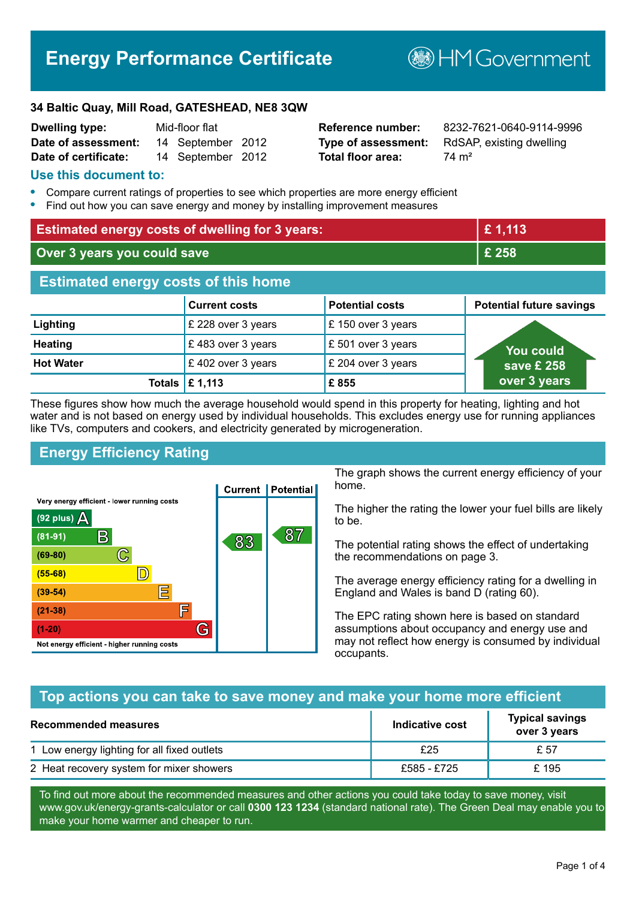# **Energy Performance Certificate**

**B**HM Government

#### **34 Baltic Quay, Mill Road, GATESHEAD, NE8 3QW**

| <b>Dwelling type:</b> | Mid-floor flat    |  |
|-----------------------|-------------------|--|
| Date of assessment:   | 14 September 2012 |  |
| Date of certificate:  | 14 September 2012 |  |

**Total floor area:** 74 m<sup>2</sup>

**Reference number:** 8232-7621-0640-9114-9996 **Type of assessment:** RdSAP, existing dwelling

#### **Use this document to:**

- **•** Compare current ratings of properties to see which properties are more energy efficient
- **•** Find out how you can save energy and money by installing improvement measures

| <b>Estimated energy costs of dwelling for 3 years:</b> |                           |                        | £1,113                          |
|--------------------------------------------------------|---------------------------|------------------------|---------------------------------|
| Over 3 years you could save                            |                           | £ 258                  |                                 |
| <b>Estimated energy costs of this home</b>             |                           |                        |                                 |
|                                                        | <b>Current costs</b>      | <b>Potential costs</b> | <b>Potential future savings</b> |
| Lighting                                               | £ 228 over 3 years        | £150 over 3 years      |                                 |
| <b>Heating</b>                                         | £483 over 3 years         | £501 over 3 years      | <u>Yo</u> u could               |
| <b>Hot Water</b>                                       | £402 over 3 years         | £ 204 over 3 years     | save £ 258                      |
|                                                        | Totals $\mathsf{E}$ 1,113 | £855                   | over 3 years                    |

These figures show how much the average household would spend in this property for heating, lighting and hot water and is not based on energy used by individual households. This excludes energy use for running appliances like TVs, computers and cookers, and electricity generated by microgeneration.

## **Energy Efficiency Rating**



The graph shows the current energy efficiency of your home.

The higher the rating the lower your fuel bills are likely to be.

The potential rating shows the effect of undertaking the recommendations on page 3.

The average energy efficiency rating for a dwelling in England and Wales is band D (rating 60).

The EPC rating shown here is based on standard assumptions about occupancy and energy use and may not reflect how energy is consumed by individual occupants.

#### **Top actions you can take to save money and make your home more efficient**

| <b>Recommended measures</b>                 | Indicative cost | <b>Typical savings</b><br>over 3 years |
|---------------------------------------------|-----------------|----------------------------------------|
| 1 Low energy lighting for all fixed outlets | £25             | £ 57                                   |
| 2 Heat recovery system for mixer showers    | £585 - £725     | £ 195                                  |

To find out more about the recommended measures and other actions you could take today to save money, visit www.gov.uk/energy-grants-calculator or call **0300 123 1234** (standard national rate). The Green Deal may enable you to make your home warmer and cheaper to run.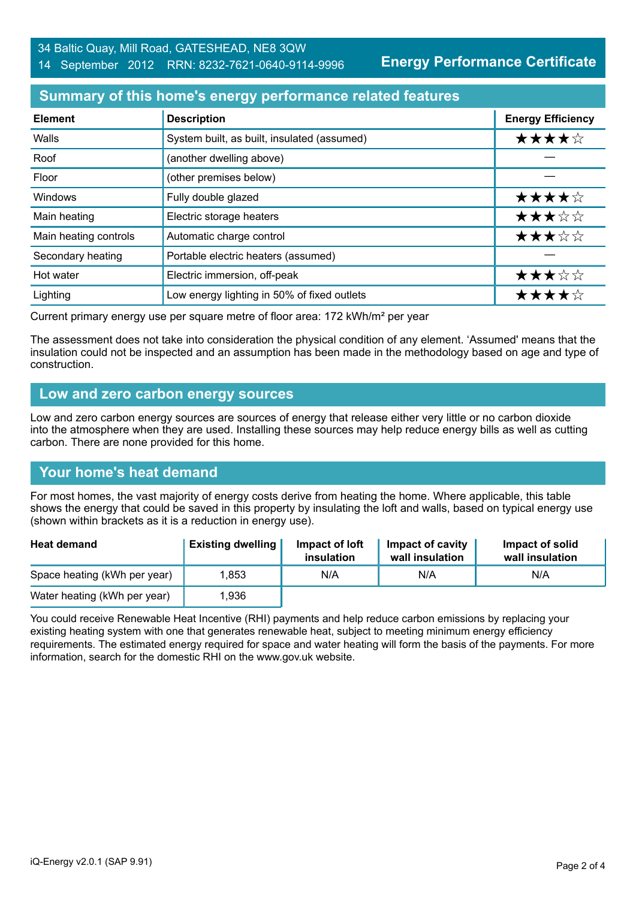**Energy Performance Certificate**

## **Summary of this home's energy performance related features**

| <b>Element</b>        | <b>Description</b>                          | <b>Energy Efficiency</b> |
|-----------------------|---------------------------------------------|--------------------------|
| Walls                 | System built, as built, insulated (assumed) | ★★★★☆                    |
| Roof                  | (another dwelling above)                    |                          |
| Floor                 | (other premises below)                      |                          |
| Windows               | Fully double glazed                         | ★★★★☆                    |
| Main heating          | Electric storage heaters                    | ★★★☆☆                    |
| Main heating controls | Automatic charge control                    | ★★★☆☆                    |
| Secondary heating     | Portable electric heaters (assumed)         |                          |
| Hot water             | Electric immersion, off-peak                | ★★★☆☆                    |
| Lighting              | Low energy lighting in 50% of fixed outlets | ★★★★☆                    |

Current primary energy use per square metre of floor area: 172 kWh/m² per year

The assessment does not take into consideration the physical condition of any element. 'Assumed' means that the insulation could not be inspected and an assumption has been made in the methodology based on age and type of construction.

#### **Low and zero carbon energy sources**

Low and zero carbon energy sources are sources of energy that release either very little or no carbon dioxide into the atmosphere when they are used. Installing these sources may help reduce energy bills as well as cutting carbon. There are none provided for this home.

## **Your home's heat demand**

For most homes, the vast majority of energy costs derive from heating the home. Where applicable, this table shows the energy that could be saved in this property by insulating the loft and walls, based on typical energy use (shown within brackets as it is a reduction in energy use).

| <b>Heat demand</b>           | <b>Existing dwelling</b> | Impact of loft<br>insulation | Impact of cavity<br>wall insulation | Impact of solid<br>wall insulation |
|------------------------------|--------------------------|------------------------------|-------------------------------------|------------------------------------|
| Space heating (kWh per year) | .853                     | N/A                          | N/A                                 | N/A                                |
| Water heating (kWh per year) | l.936                    |                              |                                     |                                    |

You could receive Renewable Heat Incentive (RHI) payments and help reduce carbon emissions by replacing your existing heating system with one that generates renewable heat, subject to meeting minimum energy efficiency requirements. The estimated energy required for space and water heating will form the basis of the payments. For more information, search for the domestic RHI on the www.gov.uk website.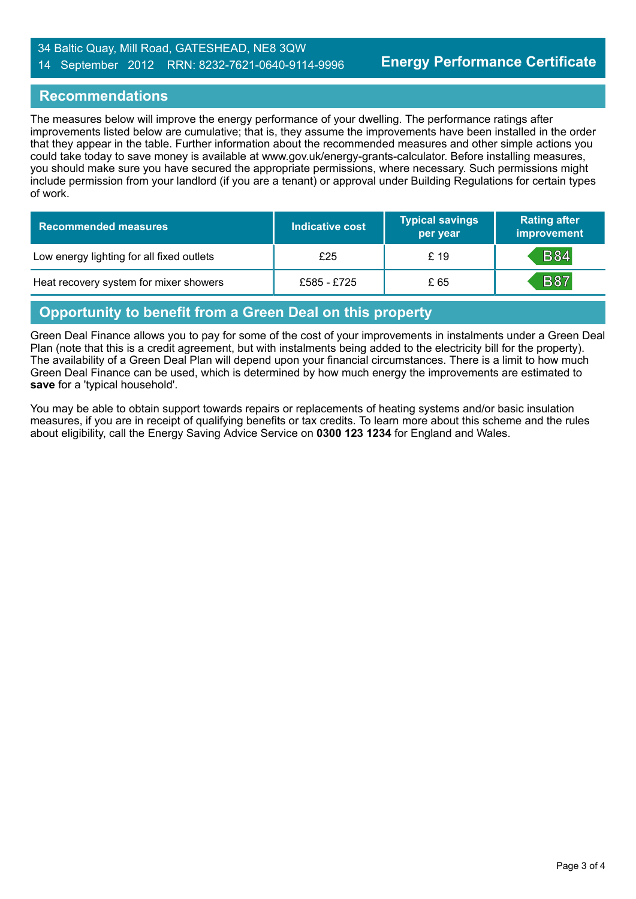#### 34 Baltic Quay, Mill Road, GATESHEAD, NE8 3QW 14 September 2012 RRN: 8232-7621-0640-9114-9996

### **Recommendations**

The measures below will improve the energy performance of your dwelling. The performance ratings after improvements listed below are cumulative; that is, they assume the improvements have been installed in the order that they appear in the table. Further information about the recommended measures and other simple actions you could take today to save money is available at www.gov.uk/energy-grants-calculator. Before installing measures, you should make sure you have secured the appropriate permissions, where necessary. Such permissions might include permission from your landlord (if you are a tenant) or approval under Building Regulations for certain types of work.

| <b>Recommended measures</b>               | Indicative cost | <b>Typical savings</b><br>per year | <b>Rating after</b><br>improvement |
|-------------------------------------------|-----------------|------------------------------------|------------------------------------|
| Low energy lighting for all fixed outlets | £25             | £ 19                               | <b>B84</b>                         |
| Heat recovery system for mixer showers    | £585 - £725     | £ 65                               | <b>B87</b>                         |

## **Opportunity to benefit from a Green Deal on this property**

Green Deal Finance allows you to pay for some of the cost of your improvements in instalments under a Green Deal Plan (note that this is a credit agreement, but with instalments being added to the electricity bill for the property). The availability of a Green Deal Plan will depend upon your financial circumstances. There is a limit to how much Green Deal Finance can be used, which is determined by how much energy the improvements are estimated to **save** for a 'typical household'.

You may be able to obtain support towards repairs or replacements of heating systems and/or basic insulation measures, if you are in receipt of qualifying benefits or tax credits. To learn more about this scheme and the rules about eligibility, call the Energy Saving Advice Service on **0300 123 1234** for England and Wales.